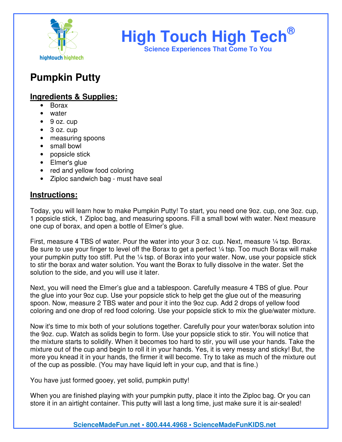

## **High Touch High Tech®**

**Science Experiences That Come To You** 

### **Pumpkin Putty**

### **Ingredients & Supplies:**

- Borax
- water
- 9 oz. cup
- 3 oz. cup
- measuring spoons
- small bowl
- popsicle stick
- Elmer's glue
- red and yellow food coloring
- Ziploc sandwich bag must have seal

### **Instructions:**

Today, you will learn how to make Pumpkin Putty! To start, you need one 9oz. cup, one 3oz. cup, 1 popsicle stick, 1 Ziploc bag, and measuring spoons. Fill a small bowl with water. Next measure one cup of borax, and open a bottle of Elmer's glue.

First, measure 4 TBS of water. Pour the water into your 3 oz. cup. Next, measure ¼ tsp. Borax. Be sure to use your finger to level off the Borax to get a perfect  $\frac{1}{4}$  tsp. Too much Borax will make your pumpkin putty too stiff. Put the 1/4 tsp. of Borax into your water. Now, use your popsicle stick to stir the borax and water solution. You want the Borax to fully dissolve in the water. Set the solution to the side, and you will use it later.

Next, you will need the Elmer's glue and a tablespoon. Carefully measure 4 TBS of glue. Pour the glue into your 9oz cup. Use your popsicle stick to help get the glue out of the measuring spoon. Now, measure 2 TBS water and pour it into the 9oz cup. Add 2 drops of yellow food coloring and one drop of red food coloring. Use your popsicle stick to mix the glue/water mixture.

Now it's time to mix both of your solutions together. Carefully pour your water/borax solution into the 9oz. cup. Watch as solids begin to form. Use your popsicle stick to stir. You will notice that the mixture starts to solidify. When it becomes too hard to stir, you will use your hands. Take the mixture out of the cup and begin to roll it in your hands. Yes, it is very messy and sticky! But, the more you knead it in your hands, the firmer it will become. Try to take as much of the mixture out of the cup as possible. (You may have liquid left in your cup, and that is fine.)

You have just formed gooey, yet solid, pumpkin putty!

When you are finished playing with your pumpkin putty, place it into the Ziploc bag. Or you can store it in an airtight container. This putty will last a long time, just make sure it is air-sealed!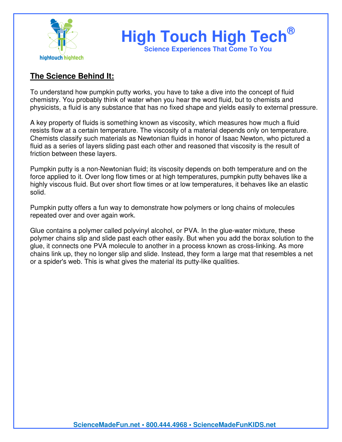

# **High Touch High Tech®**

**Science Experiences That Come To You** 

### **The Science Behind It:**

To understand how pumpkin putty works, you have to take a dive into the concept of fluid chemistry. You probably think of water when you hear the word fluid, but to chemists and physicists, a fluid is any substance that has no fixed shape and yields easily to external pressure.

A key property of fluids is something known as viscosity, which measures how much a fluid resists flow at a certain temperature. The viscosity of a material depends only on temperature. Chemists classify such materials as Newtonian fluids in honor of Isaac Newton, who pictured a fluid as a series of layers sliding past each other and reasoned that viscosity is the result of friction between these layers.

Pumpkin putty is a non-Newtonian fluid; its viscosity depends on both temperature and on the force applied to it. Over long flow times or at high temperatures, pumpkin putty behaves like a highly viscous fluid. But over short flow times or at low temperatures, it behaves like an elastic solid.

Pumpkin putty offers a fun way to demonstrate how polymers or long chains of molecules repeated over and over again work.

Glue contains a polymer called polyvinyl alcohol, or PVA. In the glue-water mixture, these polymer chains slip and slide past each other easily. But when you add the borax solution to the glue, it connects one PVA molecule to another in a process known as cross-linking. As more chains link up, they no longer slip and slide. Instead, they form a large mat that resembles a net or a spider's web. This is what gives the material its putty-like qualities.